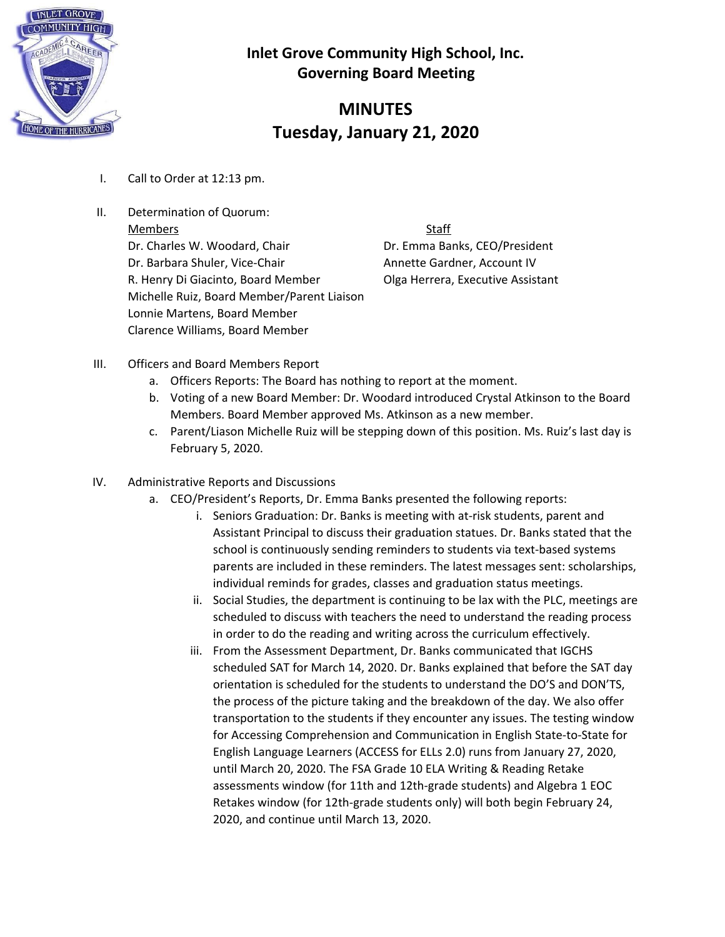

# **MINUTES Tuesday, January 21, 2020**

- I. Call to Order at 12:13 pm.
- II. Determination of Quorum: Members Staff Dr. Charles W. Woodard, Chair **Dr. Emma Banks, CEO/President** Dr. Barbara Shuler, Vice-Chair **Annette Gardner, Account IV** R. Henry Di Giacinto, Board Member **Olga Herrera, Executive Assistant** Michelle Ruiz, Board Member/Parent Liaison Lonnie Martens, Board Member Clarence Williams, Board Member

- III. Officers and Board Members Report
	- a. Officers Reports: The Board has nothing to report at the moment.
	- b. Voting of a new Board Member: Dr. Woodard introduced Crystal Atkinson to the Board Members. Board Member approved Ms. Atkinson as a new member.
	- c. Parent/Liason Michelle Ruiz will be stepping down of this position. Ms. Ruiz's last day is February 5, 2020.
- IV. Administrative Reports and Discussions
	- a. CEO/President's Reports, Dr. Emma Banks presented the following reports:
		- i. Seniors Graduation: Dr. Banks is meeting with at-risk students, parent and Assistant Principal to discuss their graduation statues. Dr. Banks stated that the school is continuously sending reminders to students via text-based systems parents are included in these reminders. The latest messages sent: scholarships, individual reminds for grades, classes and graduation status meetings.
		- ii. Social Studies, the department is continuing to be lax with the PLC, meetings are scheduled to discuss with teachers the need to understand the reading process in order to do the reading and writing across the curriculum effectively.
		- iii. From the Assessment Department, Dr. Banks communicated that IGCHS scheduled SAT for March 14, 2020. Dr. Banks explained that before the SAT day orientation is scheduled for the students to understand the DO'S and DON'TS, the process of the picture taking and the breakdown of the day. We also offer transportation to the students if they encounter any issues. The testing window for Accessing Comprehension and Communication in English State-to-State for English Language Learners (ACCESS for ELLs 2.0) runs from January 27, 2020, until March 20, 2020. The FSA Grade 10 ELA Writing & Reading Retake assessments window (for 11th and 12th-grade students) and Algebra 1 EOC Retakes window (for 12th-grade students only) will both begin February 24, 2020, and continue until March 13, 2020.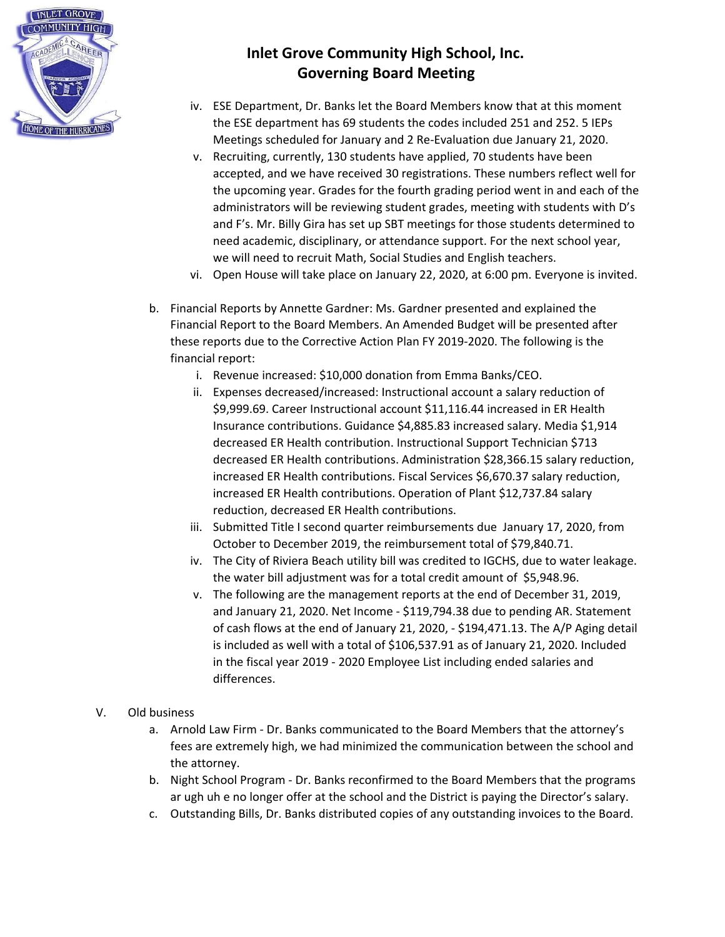

- iv. ESE Department, Dr. Banks let the Board Members know that at this moment the ESE department has 69 students the codes included 251 and 252. 5 IEPs Meetings scheduled for January and 2 Re-Evaluation due January 21, 2020.
- v. Recruiting, currently, 130 students have applied, 70 students have been accepted, and we have received 30 registrations. These numbers reflect well for the upcoming year. Grades for the fourth grading period went in and each of the administrators will be reviewing student grades, meeting with students with D's and F's. Mr. Billy Gira has set up SBT meetings for those students determined to need academic, disciplinary, or attendance support. For the next school year, we will need to recruit Math, Social Studies and English teachers.
- vi. Open House will take place on January 22, 2020, at 6:00 pm. Everyone is invited.
- b. Financial Reports by Annette Gardner: Ms. Gardner presented and explained the Financial Report to the Board Members. An Amended Budget will be presented after these reports due to the Corrective Action Plan FY 2019-2020. The following is the financial report:
	- i. Revenue increased: \$10,000 donation from Emma Banks/CEO.
	- ii. Expenses decreased/increased: Instructional account a salary reduction of \$9,999.69. Career Instructional account \$11,116.44 increased in ER Health Insurance contributions. Guidance \$4,885.83 increased salary. Media \$1,914 decreased ER Health contribution. Instructional Support Technician \$713 decreased ER Health contributions. Administration \$28,366.15 salary reduction, increased ER Health contributions. Fiscal Services \$6,670.37 salary reduction, increased ER Health contributions. Operation of Plant \$12,737.84 salary reduction, decreased ER Health contributions.
	- iii. Submitted Title I second quarter reimbursements due January 17, 2020, from October to December 2019, the reimbursement total of \$79,840.71.
	- iv. The City of Riviera Beach utility bill was credited to IGCHS, due to water leakage. the water bill adjustment was for a total credit amount of \$5,948.96.
	- v. The following are the management reports at the end of December 31, 2019, and January 21, 2020. Net Income - \$119,794.38 due to pending AR. Statement of cash flows at the end of January 21, 2020, - \$194,471.13. The A/P Aging detail is included as well with a total of \$106,537.91 as of January 21, 2020. Included in the fiscal year 2019 - 2020 Employee List including ended salaries and differences.
- V. Old business
	- a. Arnold Law Firm Dr. Banks communicated to the Board Members that the attorney's fees are extremely high, we had minimized the communication between the school and the attorney.
	- b. Night School Program Dr. Banks reconfirmed to the Board Members that the programs ar ugh uh e no longer offer at the school and the District is paying the Director's salary.
	- c. Outstanding Bills, Dr. Banks distributed copies of any outstanding invoices to the Board.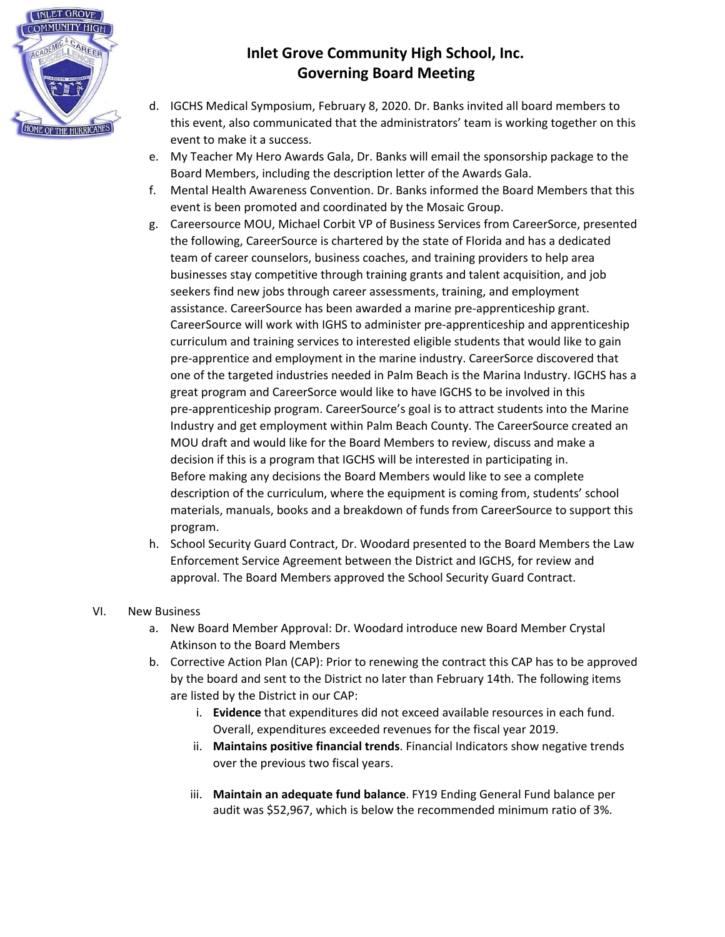

- d. IGCHS Medical Symposium, February 8, 2020. Dr. Banks invited all board members to this event, also communicated that the administrators' team is working together on this event to make it a success.
- e. My Teacher My Hero Awards Gala, Dr. Banks will email the sponsorship package to the Board Members, including the description letter of the Awards Gala.
- f. Mental Health Awareness Convention. Dr. Banks informed the Board Members that this event is been promoted and coordinated by the Mosaic Group.
- g. Careersource MOU, Michael Corbit VP of Business Services from CareerSorce, presented the following, CareerSource is chartered by the state of Florida and has a dedicated team of career counselors, business coaches, and training providers to help area businesses stay competitive through training grants and talent acquisition, and job seekers find new jobs through career assessments, training, and employment assistance. CareerSource has been awarded a marine pre-apprenticeship grant. CareerSource will work with IGHS to administer pre-apprenticeship and apprenticeship curriculum and training services to interested eligible students that would like to gain pre-apprentice and employment in the marine industry. CareerSorce discovered that one of the targeted industries needed in Palm Beach is the Marina Industry. IGCHS has a great program and CareerSorce would like to have IGCHS to be involved in this pre-apprenticeship program. CareerSource's goal is to attract students into the Marine Industry and get employment within Palm Beach County. The CareerSource created an MOU draft and would like for the Board Members to review, discuss and make a decision if this is a program that IGCHS will be interested in participating in. Before making any decisions the Board Members would like to see a complete description of the curriculum, where the equipment is coming from, students' school materials, manuals, books and a breakdown of funds from CareerSource to support this program.
- h. School Security Guard Contract, Dr. Woodard presented to the Board Members the Law Enforcement Service Agreement between the District and IGCHS, for review and approval. The Board Members approved the School Security Guard Contract.

#### VI. New Business

- a. New Board Member Approval: Dr. Woodard introduce new Board Member Crystal Atkinson to the Board Members
- b. Corrective Action Plan (CAP): Prior to renewing the contract this CAP has to be approved by the board and sent to the District no later than February 14th. The following items are listed by the District in our CAP:
	- i. **Evidence** that expenditures did not exceed available resources in each fund. Overall, expenditures exceeded revenues for the fiscal year 2019.
	- ii. **Maintains positive financial trends**. Financial Indicators show negative trends over the previous two fiscal years.
	- iii. **Maintain an adequate fund balance**. FY19 Ending General Fund balance per audit was \$52,967, which is below the recommended minimum ratio of 3%.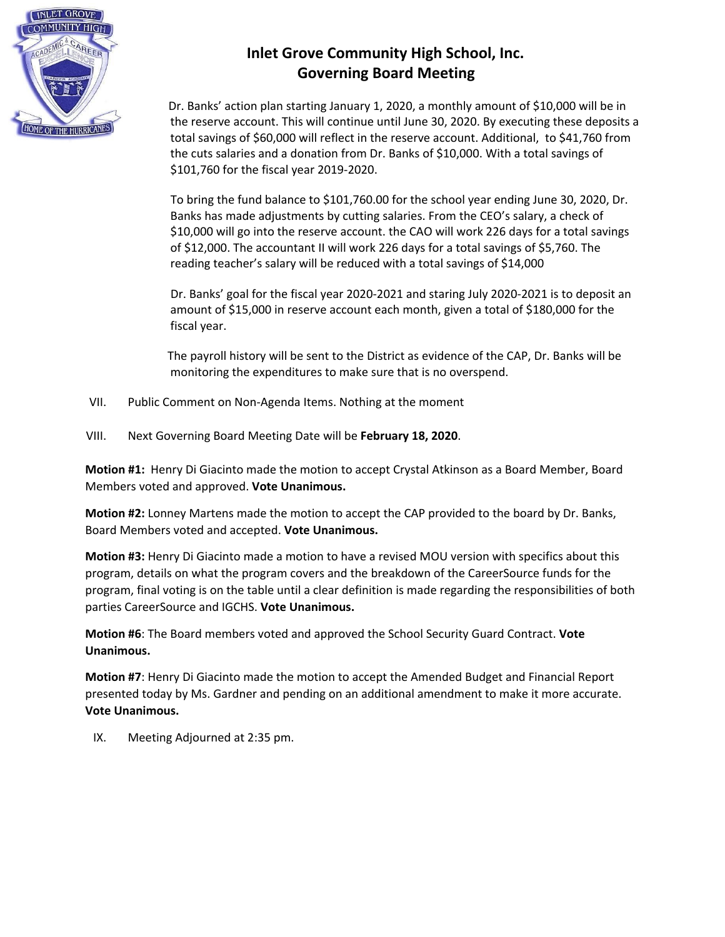

Dr. Banks' action plan starting January 1, 2020, a monthly amount of \$10,000 will be in the reserve account. This will continue until June 30, 2020. By executing these deposits a total savings of \$60,000 will reflect in the reserve account. Additional, to \$41,760 from the cuts salaries and a donation from Dr. Banks of \$10,000. With a total savings of \$101,760 for the fiscal year 2019-2020.

To bring the fund balance to \$101,760.00 for the school year ending June 30, 2020, Dr. Banks has made adjustments by cutting salaries. From the CEO's salary, a check of \$10,000 will go into the reserve account. the CAO will work 226 days for a total savings of \$12,000. The accountant II will work 226 days for a total savings of \$5,760. The reading teacher's salary will be reduced with a total savings of \$14,000

Dr. Banks' goal for the fiscal year 2020-2021 and staring July 2020-2021 is to deposit an amount of \$15,000 in reserve account each month, given a total of \$180,000 for the fiscal year.

The payroll history will be sent to the District as evidence of the CAP, Dr. Banks will be monitoring the expenditures to make sure that is no overspend.

- VII. Public Comment on Non-Agenda Items. Nothing at the moment
- VIII. Next Governing Board Meeting Date will be **February 18, 2020**.

**Motion #1:** Henry Di Giacinto made the motion to accept Crystal Atkinson as a Board Member, Board Members voted and approved. **Vote Unanimous.**

**Motion #2:** Lonney Martens made the motion to accept the CAP provided to the board by Dr. Banks, Board Members voted and accepted. **Vote Unanimous.**

**Motion #3:** Henry Di Giacinto made a motion to have a revised MOU version with specifics about this program, details on what the program covers and the breakdown of the CareerSource funds for the program, final voting is on the table until a clear definition is made regarding the responsibilities of both parties CareerSource and IGCHS. **Vote Unanimous.**

**Motion #6**: The Board members voted and approved the School Security Guard Contract. **Vote Unanimous.**

**Motion #7**: Henry Di Giacinto made the motion to accept the Amended Budget and Financial Report presented today by Ms. Gardner and pending on an additional amendment to make it more accurate. **Vote Unanimous.**

IX. Meeting Adjourned at 2:35 pm.